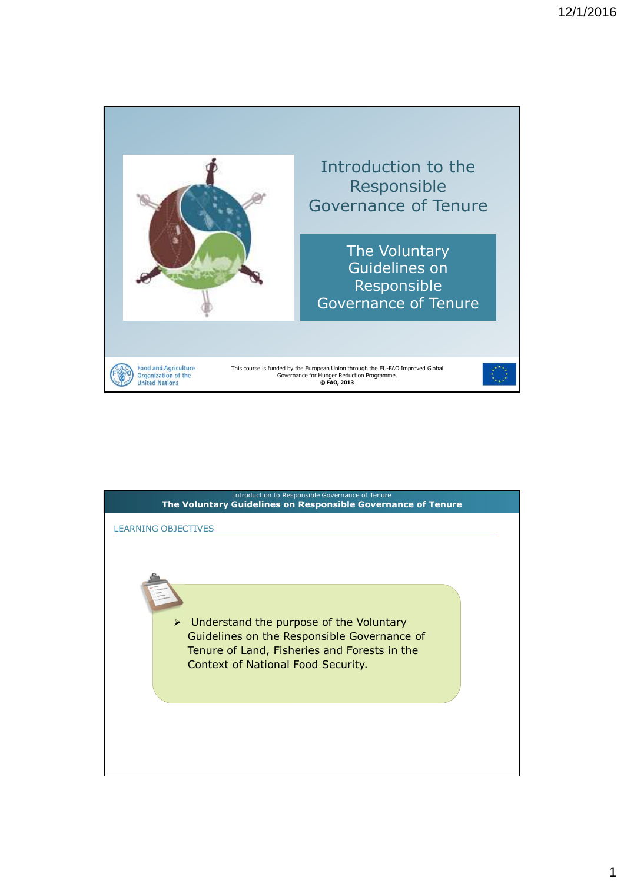

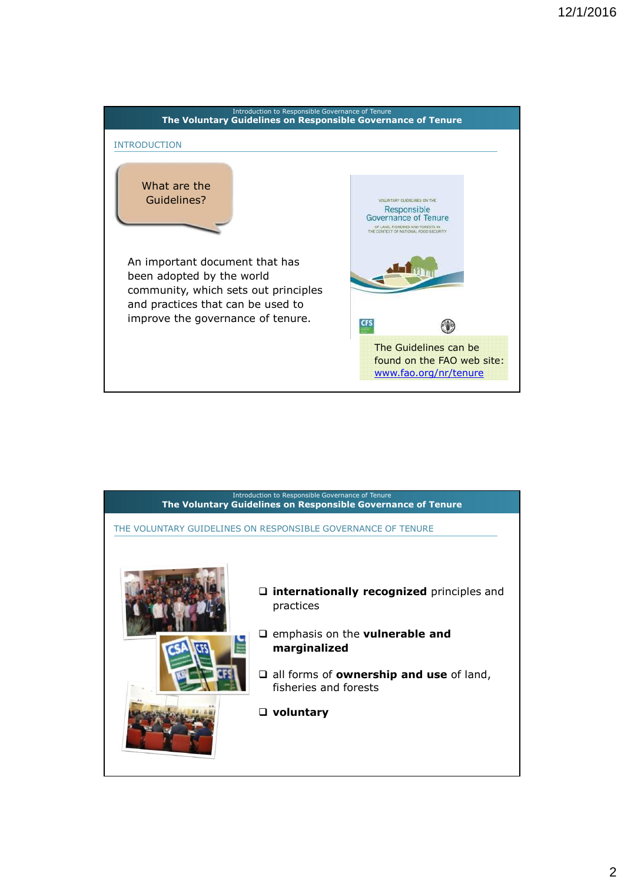

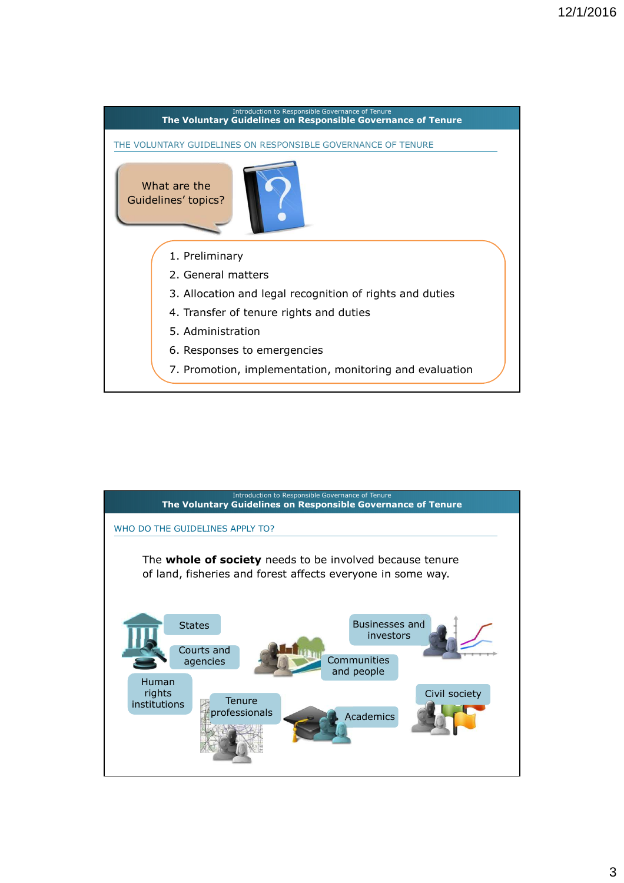

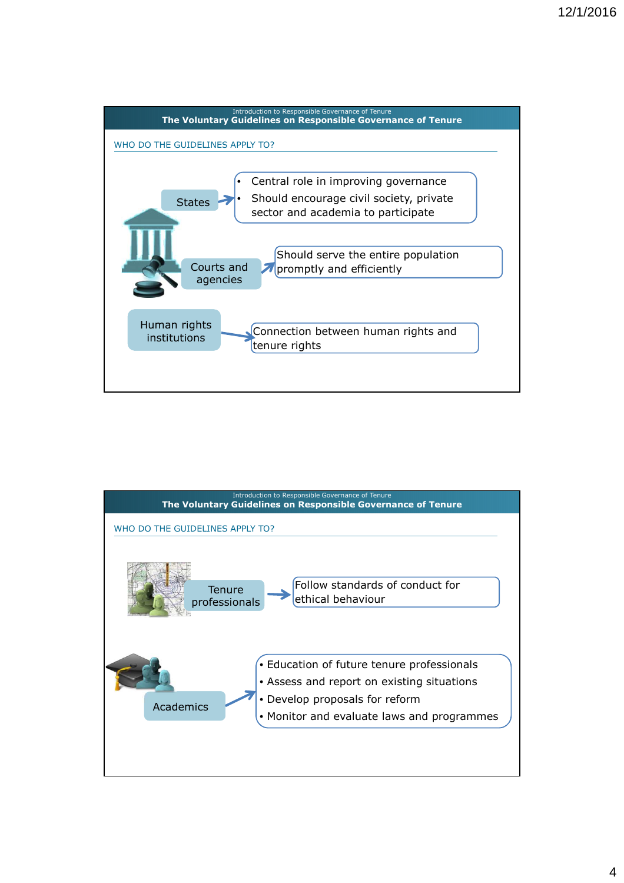

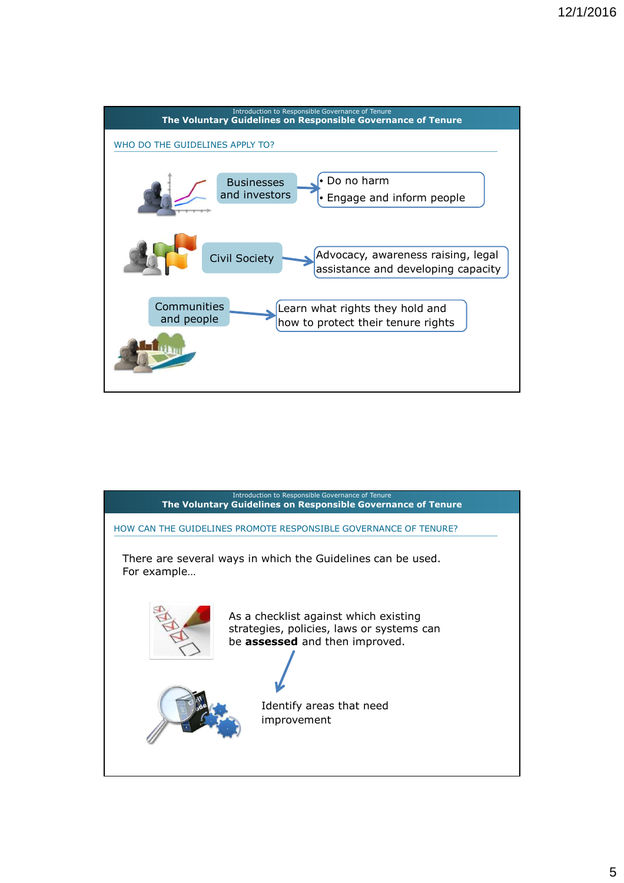

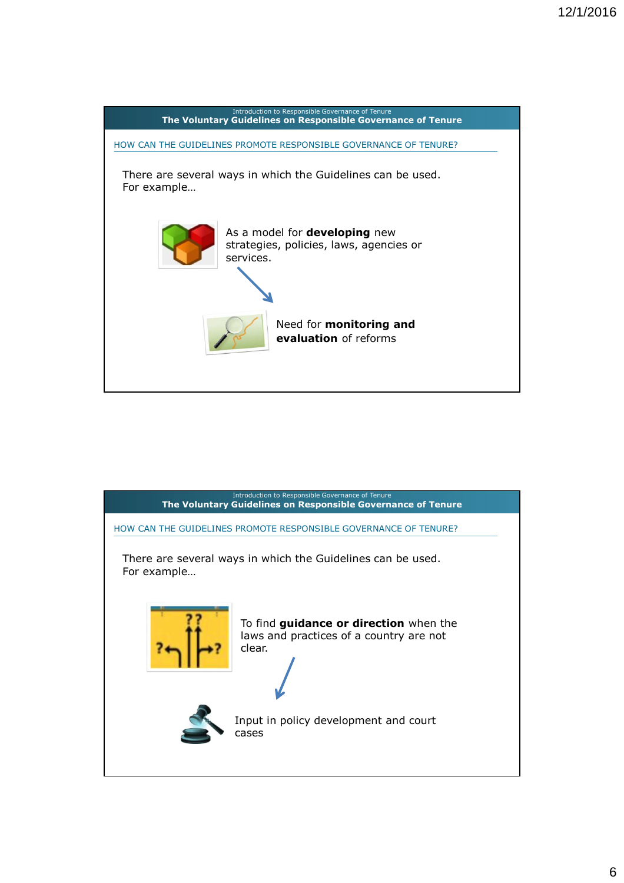

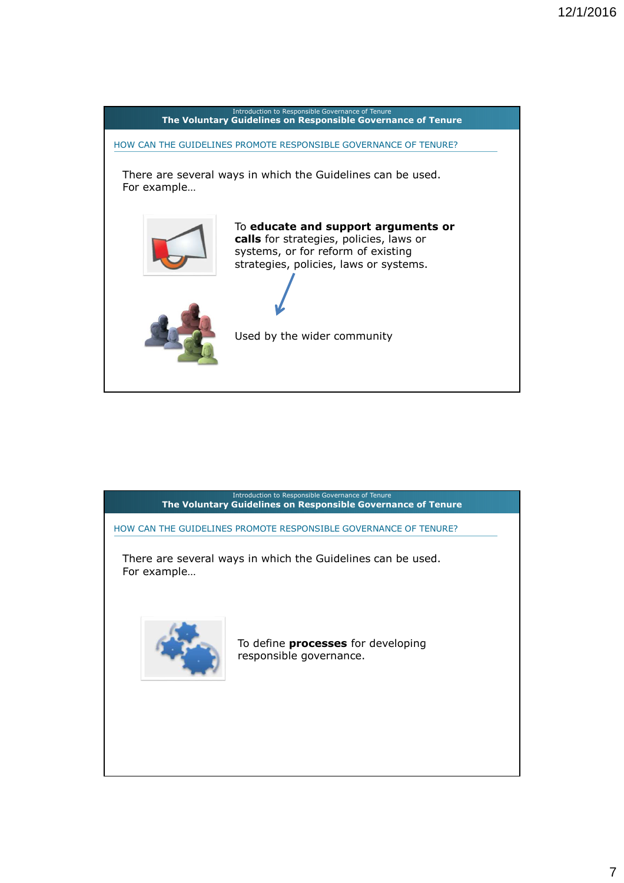